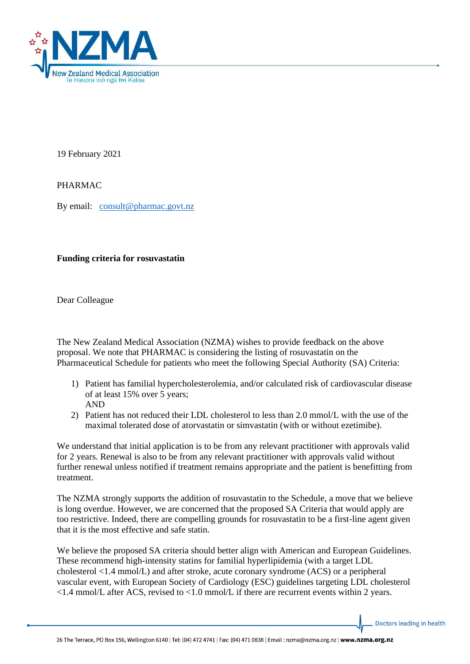

19 February 2021

PHARMAC

By email: [consult@pharmac.govt.nz](mailto:consult@pharmac.govt.nz)

## **Funding criteria for rosuvastatin**

Dear Colleague

The New Zealand Medical Association (NZMA) wishes to provide feedback on the above proposal. We note that PHARMAC is considering the listing of rosuvastatin on the Pharmaceutical Schedule for patients who meet the following Special Authority (SA) Criteria:

- 1) Patient has familial hypercholesterolemia, and/or calculated risk of cardiovascular disease of at least 15% over 5 years; AND
- 2) Patient has not reduced their LDL cholesterol to less than 2.0 mmol/L with the use of the maximal tolerated dose of atorvastatin or simvastatin (with or without ezetimibe).

We understand that initial application is to be from any relevant practitioner with approvals valid for 2 years. Renewal is also to be from any relevant practitioner with approvals valid without further renewal unless notified if treatment remains appropriate and the patient is benefitting from treatment.

The NZMA strongly supports the addition of rosuvastatin to the Schedule, a move that we believe is long overdue. However, we are concerned that the proposed SA Criteria that would apply are too restrictive. Indeed, there are compelling grounds for rosuvastatin to be a first-line agent given that it is the most effective and safe statin.

We believe the proposed SA criteria should better align with American and European Guidelines. These recommend high-intensity statins for familial hyperlipidemia (with a target LDL cholesterol <1.4 mmol/L) and after stroke, acute coronary syndrome (ACS) or a peripheral vascular event, with European Society of Cardiology (ESC) guidelines targeting LDL cholesterol  $\langle 1.4 \text{ mmol/L after ACS, revised to } \langle 1.0 \text{ mmol/L if there are recurrent events within 2 years.}$